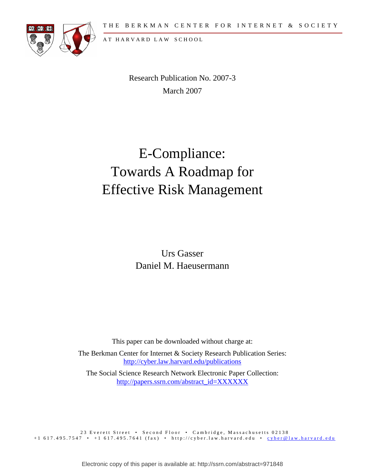

A T H A R V A R D L A W S C H O O L

Research Publication No. 2007-3 March 2007

# E-Compliance: Towards A Roadmap for Effective Risk Management

Urs Gasser Daniel M. Haeusermann

This paper can be downloaded without charge at:

The Berkman Center for Internet & Society Research Publication Series: <http://cyber.law.harvard.edu/publications>

The Social Science Research Network Electronic Paper Collection: [http://papers.ssrn.com/abstract\\_id=XXXXXX](http://papers.ssrn.com/abstract_id=XXXXXX)

23 Everett Street • Second Floor • Cambridge, Massachusetts 02138 +1 617.495.7547 • +1 617.495.7641 (fax) • http://cyber.law.harvard.edu • [cyber@law.harvard.edu](mailto:cyber@law.harvard.edu)

Electronic copy of this paper is available at: http://ssrn.com/abstract=971848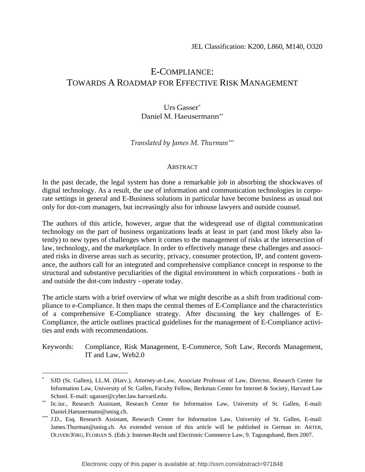# E-COMPLIANCE: TOWARDS A ROADMAP FOR EFFECTIVE RISK MANAGEMENT

#### Urs Gasser[\\*](#page-1-0) Daniel M. Haeusermann[\\*\\*](#page-1-1)

#### *Translated by James M. Thurman[\\*\\*\\*](#page-1-2)*

#### **ABSTRACT**

In the past decade, the legal system has done a remarkable job in absorbing the shockwaves of digital technology. As a result, the use of information and communication technologies in corporate settings in general and E-Business solutions in particular have become business as usual not only for dot-com managers, but increasingly also for inhouse lawyers and outside counsel.

The authors of this article, however, argue that the widespread use of digital communication technology on the part of business organizations leads at least in part (and most likely also latently) to new types of challenges when it comes to the management of risks at the intersection of law, technology, and the marketplace. In order to effectively manage these challenges and associated risks in diverse areas such as security, privacy, consumer protection, IP, and content governance, the authors call for an integrated and comprehensive compliance concept in response to the structural and substantive peculiarities of the digital environment in which corporations - both in and outside the dot-com industry - operate today.

The article starts with a brief overview of what we might describe as a shift from traditional compliance to e-Compliance. It then maps the central themes of E-Compliance and the characteristics of a comprehensive E-Compliance strategy. After discussing the key challenges of E-Compliance, the article outlines practical guidelines for the management of E-Compliance activities and ends with recommendations.

Keywords: Compliance, Risk Management, E-Commerce, Soft Law, Records Management, IT and Law, Web2.0

<span id="page-1-0"></span><sup>\*</sup> SJD (St. Gallen), LL.M. (Harv.), Attorney-at-Law, Associate Professor of Law, Director, Research Center for Information Law, University of St. Gallen, Faculty Fellow, Berkman Center for Internet & Society, Harvard Law School. E-mail: ugasser@cyber.law.harvard.edu.<br>
lic.iur., Research Assistant, Research Center for Information Law, University of St. Gallen, E-mail:

<span id="page-1-1"></span>

<span id="page-1-2"></span>Daniel.Haeusermann@unisg.ch. \*\*\* J.D., Esq. Research Assistant, Research Center for Information Law, University of St. Gallen, E-mail: James.Thurman@unisg.ch. An extended version of this article will be published in German in: ARTER, OLIVER/JÖRG, FLORIAN S. (Eds.): Internet-Recht und Electronic Commerce Law, 9. Tagungsband, Bern 2007.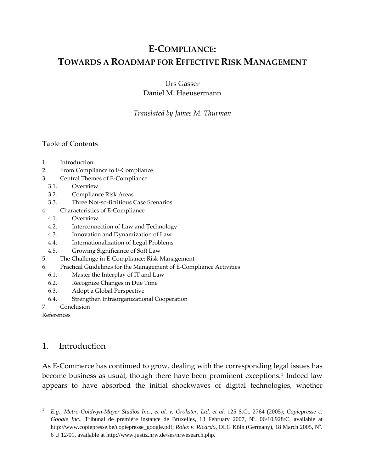# **E‐COMPLIANCE: TOWARDS A ROADMAP FOR EFFECTIVE RISK MANAGEMENT**

Urs Gasser Daniel M. Haeusermann

*Translated by James M. Thurman*

#### Table of Contents

- 1. Introduction
- 2. From Compliance to E‐Compliance
- 3. Central Themes of E‐Compliance
	- 3.1. Overview
	- 3.2. Compliance Risk Areas
	- 3.3. Three Not‐so‐fictitious Case Scenarios
- 4. Characteristics of E‐Compliance
	- 4.1. Overview
	- 4.2. Interconnection of Law and Technology
	- 4.3. Innovation and Dynamization of Law
	- 4.4. Internationalization of Legal Problems
	- 4.5. Growing Significance of Soft Law
- 5. The Challenge in E‐Compliance: Risk Management
- 6. Practical Guidelines for the Management of E‐Compliance Activities
	- 6.1. Master the Interplay of IT and Law
	- 6.2. Recognize Changes in Due Time
	- 6.3. Adopt a Global Perspective
	- 6.4. Strengthen Intraorganizational Cooperation
- 7. Conclusion

References

1

### 1. Introduction

As E‐Commerce has continued to grow, dealing with the corresponding legal issues has become business as usual, though there have been prominent exceptions.<sup>[1](#page-2-0)</sup> Indeed law appears to have absorbed the initial shockwaves of digital technologies, whether

<span id="page-2-0"></span><sup>1</sup> *E.g.*, *Metro-Goldwyn-Mayer Studios Inc., et al. v. Grokster, Ltd. et al.* 125 S.Ct. 2764 (2005); *Copiepresse c.*  Google Inc., Tribunal de première instance de Bruxelles, 13 February 2007, Nº. 06/10.928/C, available at http://www.copiepresse.be/copiepresse\_google.pdf; *Rolex v. Ricardo*, OLG Köln (Germany), 18 March 2005, N°. 6 U 12/01, available at http://www.justiz.nrw.de/ses/nrwesearch.php.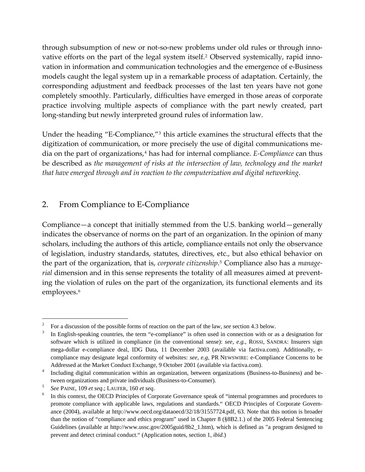through subsumption of new or not-so-new problems under old rules or through inno-vative efforts on the part of the legal system itself.<sup>[2](#page-3-0)</sup> Observed systemically, rapid innovation in information and communication technologies and the emergence of e‐Business models caught the legal system up in a remarkable process of adaptation. Certainly, the corresponding adjustment and feedback processes of the last ten years have not gone completely smoothly. Particularly, difficulties have emerged in those areas of corporate practice involving multiple aspects of compliance with the part newly created, part long‐standing but newly interpreted ground rules of information law.

Under the heading "E-Compliance,"<sup>[3](#page-3-1)</sup> this article examines the structural effects that the digitization of communication, or more precisely the use of digital communications me‐ dia on the part of organizations,<sup>[4](#page-3-2)</sup> has had for internal compliance. *E*-*Compliance* can thus be described as *the management of risks at the intersection of law, technology and the market that have emerged through and in reaction to the computerization and digital networking*.

# 2. From Compliance to E‐Compliance

Compliance—a concept that initially stemmed from the U.S. banking world—generally indicates the observance of norms on the part of an organization. In the opinion of many scholars, including the authors of this article, compliance entails not only the observance of legislation, industry standards, statutes, directives, etc., but also ethical behavior on the part of the organization, that is, *corporate citizenship*. [5](#page-3-3) Compliance also has a *manage‐ rial* dimension and in this sense represents the totality of all measures aimed at preventing the violation of rules on the part of the organization, its functional elements and its employees.<sup>[6](#page-3-4)</sup>

<span id="page-3-0"></span><sup>2</sup> For a discussion of the possible forms of reaction on the part of the law, *see* section 4.3 below.<sup>3</sup> In English speaking countries, the term "o compliance" is often used in connection with or a

<span id="page-3-1"></span>In English-speaking countries, the term "e-compliance" is often used in connection with or as a designation for software which is utilized in compliance (in the conventional sense): *see, e.g.*, ROSSI, SANDRA: Insurers sign mega-dollar e-compliance deal, IDG Data, 11 December 2003 (available via factiva.com). Additionally, ecompliance may designate legal conformity of websites: *see, e.g*, PR NEWSWIRE: e-Compliance Concerns to be Addressed at the Market Conduct Exchange, 9 October 2001 (available via factiva.com).<br>4 Including digital communication within an organization between organizations (Busin

<span id="page-3-2"></span>Including digital communication within an organization, between organizations (Business-to-Business) and between organizations and private individuals (Business-to-Consumer). 5

<span id="page-3-3"></span>*See* PAINE, 109 *et seq*.; LAUFER, 160 *et seq*. 6

<span id="page-3-4"></span>In this context, the OECD Principles of Corporate Governance speak of "internal programmes and procedures to promote compliance with applicable laws, regulations and standards." OECD Principles of Corporate Governance (2004), available at http://www.oecd.org/dataoecd/32/18/31557724.pdf, 63. Note that this notion is broader than the notion of "compliance and ethics program" used in Chapter 8 (§8B2.1.) of the 2005 Federal Sentencing Guidelines (available at http://www.ussc.gov/2005guid/8b2\_1.htm), which is defined as "a program designed to prevent and detect criminal conduct." (Application notes, section 1, *ibid*.)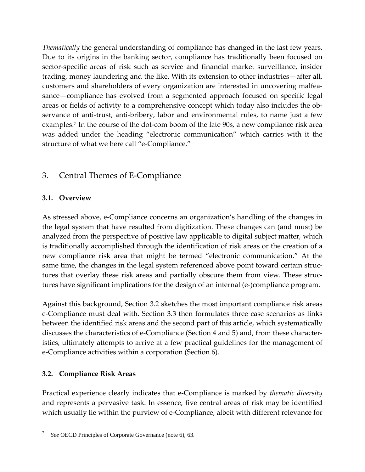*Thematically* the general understanding of compliance has changed in the last few years. Due to its origins in the banking sector, compliance has traditionally been focused on sector-specific areas of risk such as service and financial market surveillance, insider trading, money laundering and the like. With its extension to other industries—after all, customers and shareholders of every organization are interested in uncovering malfea‐ sance—compliance has evolved from a segmented approach focused on specific legal areas or fields of activity to a comprehensive concept which today also includes the ob‐ servance of anti-trust, anti-bribery, labor and environmental rules, to name just a few examples.<sup>[7](#page-4-0)</sup> In the course of the dot-com boom of the late 90s, a new compliance risk area was added under the heading "electronic communication" which carries with it the structure of what we here call "e‐Compliance."

# 3. Central Themes of E‐Compliance

### **3.1. Overview**

As stressed above, e‐Compliance concerns an organization's handling of the changes in the legal system that have resulted from digitization. These changes can (and must) be analyzed from the perspective of positive law applicable to digital subject matter, which is traditionally accomplished through the identification of risk areas or the creation of a new compliance risk area that might be termed "electronic communication." At the same time, the changes in the legal system referenced above point toward certain structures that overlay these risk areas and partially obscure them from view. These struc‐ tures have significant implications for the design of an internal (e‐)compliance program.

Against this background, Section 3.2 sketches the most important compliance risk areas e‐Compliance must deal with. Section 3.3 then formulates three case scenarios as links between the identified risk areas and the second part of this article, which systematically discusses the characteristics of e‐Compliance (Section 4 and 5) and, from these character‐ istics, ultimately attempts to arrive at a few practical guidelines for the management of e‐Compliance activities within a corporation (Section 6).

### **3.2. Compliance Risk Areas**

1

Practical experience clearly indicates that e‐Compliance is marked by *thematic diversity* and represents a pervasive task. In essence, five central areas of risk may be identified which usually lie within the purview of e-Compliance, albeit with different relevance for

<span id="page-4-0"></span><sup>7</sup> *See* OECD Principles of Corporate Governance (note 6), 63.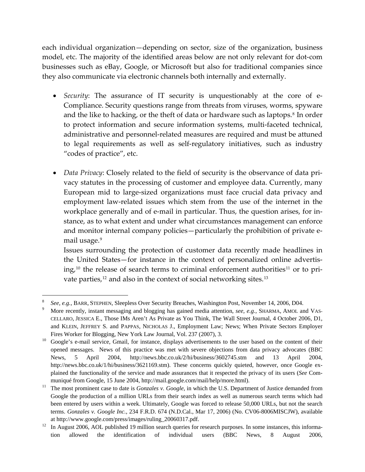each individual organization—depending on sector, size of the organization, business model, etc. The majority of the identified areas below are not only relevant for dot‐com businesses such as eBay, Google, or Microsoft but also for traditional companies since they also communicate via electronic channels both internally and externally.

- Security: The assurance of IT security is unquestionably at the core of e-Compliance. Security questions range from threats from viruses, worms, spyware and the like to hacking, or the theft of data or hardware such as laptops.<sup>[8](#page-5-0)</sup> In order to protect information and secure information systems, multi-faceted technical, administrative and personnel‐related measures are required and must be attuned to legal requirements as well as self‐regulatory initiatives, such as industry "codes of practice", etc.
- *Data Privacy*: Closely related to the field of security is the observance of data pri‐ vacy statutes in the processing of customer and employee data. Currently, many European mid to large‐sized organizations must face crucial data privacy and employment law-related issues which stem from the use of the internet in the workplace generally and of e-mail in particular. Thus, the question arises, for instance, as to what extent and under what circumstances management can enforce and monitor internal company policies—particularly the prohibition of private e‐ mail usage.<sup>[9](#page-5-1)</sup>

Issues surrounding the protection of customer data recently made headlines in the United States—for instance in the context of personalized online advertis‐ ing,<sup>[10](#page-5-2)</sup> the release of search terms to criminal enforcement authorities<sup>[11](#page-5-3)</sup> or to pri-vate parties,<sup>[12](#page-5-4)</sup> and also in the context of social networking sites.<sup>[13](#page-5-5)</sup>

<span id="page-5-5"></span><span id="page-5-0"></span><sup>8</sup> *See, e.g., BARR, STEPHEN, Sleepless Over Security Breaches, Washington Post, November 14, 2006, D04.* 

<span id="page-5-1"></span>More recently, instant messaging and blogging has gained media attention, *see, e.g.,* SHARMA, AMOL and VAS-CELLARO, JESSICA E., Those IMs Aren't As Private as You Think, The Wall Street Journal, 4 October 2006, D1, and KLEIN, JEFFREY S. and PAPPAS, NICHOLAS J., Employment Law; News; When Private Sectors Employer Fires Worker for Blogging, New York Law Journal, Vol. 237 (2007), 3.<br><sup>10</sup> Google's e-mail service, Gmail, for instance, displays advertisements to the user based on the content of their

<span id="page-5-2"></span>opened messages. News of this practice was met with severe objections from data privacy advocates (BBC News, 5 April 2004, http://news.bbc.co.uk/2/hi/business/3602745.stm and 13 April 2004, http://news.bbc.co.uk/1/hi/business/3621169.stm). These concerns quickly quieted, however, once Google explained the functionality of the service and made assurances that it respected the privacy of its users (*See* Com-

<span id="page-5-3"></span>muniqué from Google, 15 June 2004, http://mail.google.com/mail/help/more.html).<br><sup>11</sup> The most prominent case to date is *Gonzales v. Google*, in which the U.S. Department of Justice demanded from Google the production of a million URLs from their search index as well as numerous search terms which had been entered by users within a week. Ultimately, Google was forced to release 50,000 URLs, but not the search terms. *Gonzales v. Google Inc.*, 234 F.R.D. 674 (N.D.Cal., Mar 17, 2006) (No. CV06-8006MISCJW), available

<span id="page-5-4"></span>at http://www.google.com/press/images/ruling\_20060317.pdf.<br><sup>12</sup> In August 2006, AOL published 19 million search queries for research purposes. In some instances, this information allowed the identification of individual users (BBC News, 8 August 2006,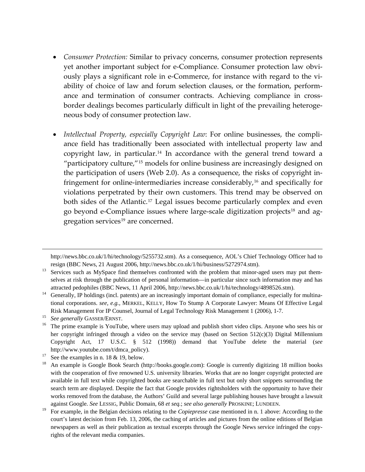- *Consumer Protection:* Similar to privacy concerns, consumer protection represents yet another important subject for e‐Compliance. Consumer protection law obvi‐ ously plays a significant role in e‐Commerce, for instance with regard to the vi‐ ability of choice of law and forum selection clauses, or the formation, perform‐ ance and termination of consumer contracts. Achieving compliance in crossborder dealings becomes particularly difficult in light of the prevailing heteroge‐ neous body of consumer protection law.
- *Intellectual Property, especially Copyright Law*: For online businesses, the compli‐ ance field has traditionally been associated with intellectual property law and copyright law, in particular.<sup>[14](#page-6-0)</sup> In accordance with the general trend toward a "participatory culture,"[15](#page-6-1) models for online business are increasingly designed on the participation of users (Web 2.0). As a consequence, the risks of copyright in‐ fringement for online-intermediaries increase considerably,<sup>[16](#page-6-2)</sup> and specifically for violations perpetrated by their own customers. This trend may be observed on both sides of the Atlantic.<sup>[17](#page-6-3)</sup> Legal issues become particularly complex and even go beyond e-Compliance issues where large-scale digitization projects<sup>[18](#page-6-4)</sup> and ag-gregation services<sup>[19](#page-6-5)</sup> are concerned.

http://news.bbc.co.uk/1/hi/technology/5255732.stm). As a consequence, AOL's Chief Technology Officer had to

resign (BBC News, 21 August 2006, http://news.bbc.co.uk/1/hi/business/5272974.stm).<br><sup>13</sup> Services such as MySpace find themselves confronted with the problem that minor-aged users may put themselves at risk through the publication of personal information—in particular since such information may and has

<span id="page-6-0"></span>attracted pedophiles (BBC News, 11 April 2006, http://news.bbc.co.uk/1/hi/technology/4898526.stm).<br><sup>14</sup> Generally, IP holdings (incl. patents) are an increasingly important domain of compliance, especially for multinational corporations. *see, e.g.,* MERKEL, KELLY, How To Stump A Corporate Lawyer: Means Of Effective Legal

<span id="page-6-2"></span>

<span id="page-6-1"></span>Risk Management For IP Counsel, Journal of Legal Technology Risk Management 1 (2006), 1-7.<br><sup>15</sup> See generally GASSER/ERNST.<br><sup>16</sup> The prime example is YouTube, where users may upload and publish short video clips. Anyone wh her copyright infringed through a video on the service may (based on Section 512(c)(3) Digital Millennium Copyright Act, 17 U.S.C. § 512 (1998)) demand that YouTube delete the material (*see*

http://www.youtube.com/t/dmca\_policy).<br><sup>17</sup> See the examples in n. 18 & 19, below.

<span id="page-6-4"></span><span id="page-6-3"></span><sup>&</sup>lt;sup>18</sup> An example is Google Book Search (http://books.google.com): Google is currently digitizing 18 million books with the cooperation of five renowned U.S. university libraries. Works that are no longer copyright protected are available in full text while copyrighted books are searchable in full text but only short snippets surrounding the search term are displayed. Despite the fact that Google provides rightsholders with the opportunity to have their works removed from the database, the Authors' Guild and several large publishing houses have brought a lawsuit

<span id="page-6-5"></span>against Google. See LESSIG, Public Domain, 68 et seq.; see also generally PROSKINE; LUNDEEN.<br><sup>19</sup> For example, in the Belgian decisions relating to the *Copiepresse* case mentioned in n. 1 above: According to the court's latest decision from Feb. 13, 2006, the caching of articles and pictures from the online editions of Belgian newspapers as well as their publication as textual excerpts through the Google News service infringed the copyrights of the relevant media companies.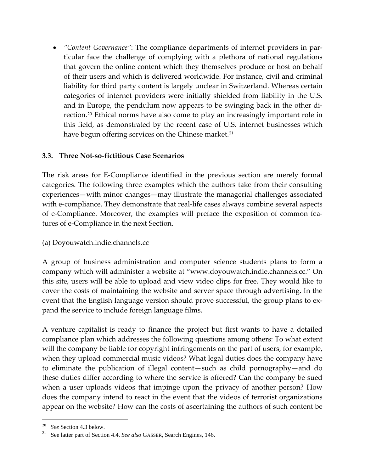• *"Content Governance"*: The compliance departments of internet providers in par‐ ticular face the challenge of complying with a plethora of national regulations that govern the online content which they themselves produce or host on behalf of their users and which is delivered worldwide. For instance, civil and criminal liability for third party content is largely unclear in Switzerland. Whereas certain categories of internet providers were initially shielded from liability in the U.S. and in Europe, the pendulum now appears to be swinging back in the other di‐ rection.[20](#page-7-0) Ethical norms have also come to play an increasingly important role in this field, as demonstrated by the recent case of U.S. internet businesses which have begun offering services on the Chinese market.<sup>[21](#page-7-1)</sup>

### **3.3. Three Not‐so‐fictitious Case Scenarios**

The risk areas for E‐Compliance identified in the previous section are merely formal categories. The following three examples which the authors take from their consulting experiences—with minor changes—may illustrate the managerial challenges associated with e-compliance. They demonstrate that real-life cases always combine several aspects of e‐Compliance. Moreover, the examples will preface the exposition of common fea‐ tures of e‐Compliance in the next Section.

(a) Doyouwatch.indie.channels.cc

A group of business administration and computer science students plans to form a company which will administer a website at "www.doyouwatch.indie.channels.cc." On this site, users will be able to upload and view video clips for free. They would like to cover the costs of maintaining the website and server space through advertising. In the event that the English language version should prove successful, the group plans to ex‐ pand the service to include foreign language films.

A venture capitalist is ready to finance the project but first wants to have a detailed compliance plan which addresses the following questions among others: To what extent will the company be liable for copyright infringements on the part of users, for example, when they upload commercial music videos? What legal duties does the company have to eliminate the publication of illegal content—such as child pornography—and do these duties differ according to where the service is offered? Can the company be sued when a user uploads videos that impinge upon the privacy of another person? How does the company intend to react in the event that the videos of terrorist organizations appear on the website? How can the costs of ascertaining the authors of such content be

<span id="page-7-1"></span><span id="page-7-0"></span><sup>&</sup>lt;sup>20</sup> See Section 4.3 below.<br><sup>21</sup> See latter part of Section 4.4. *See also* GASSER, Search Engines, 146.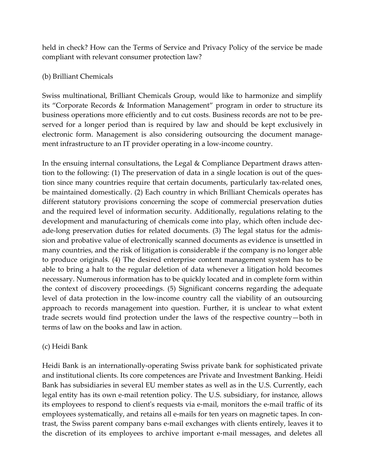held in check? How can the Terms of Service and Privacy Policy of the service be made compliant with relevant consumer protection law?

#### (b) Brilliant Chemicals

Swiss multinational, Brilliant Chemicals Group, would like to harmonize and simplify its "Corporate Records & Information Management" program in order to structure its business operations more efficiently and to cut costs. Business records are not to be pre‐ served for a longer period than is required by law and should be kept exclusively in electronic form. Management is also considering outsourcing the document management infrastructure to an IT provider operating in a low-income country.

In the ensuing internal consultations, the Legal & Compliance Department draws attention to the following: (1) The preservation of data in a single location is out of the ques‐ tion since many countries require that certain documents, particularly tax-related ones, be maintained domestically. (2) Each country in which Brilliant Chemicals operates has different statutory provisions concerning the scope of commercial preservation duties and the required level of information security. Additionally, regulations relating to the development and manufacturing of chemicals come into play, which often include dec‐ ade‐long preservation duties for related documents. (3) The legal status for the admis‐ sion and probative value of electronically scanned documents as evidence is unsettled in many countries, and the risk of litigation is considerable if the company is no longer able to produce originals. (4) The desired enterprise content management system has to be able to bring a halt to the regular deletion of data whenever a litigation hold becomes necessary. Numerous information has to be quickly located and in complete form within the context of discovery proceedings. (5) Significant concerns regarding the adequate level of data protection in the low-income country call the viability of an outsourcing approach to records management into question. Further, it is unclear to what extent trade secrets would find protection under the laws of the respective country—both in terms of law on the books and law in action.

### (c) Heidi Bank

Heidi Bank is an internationally‐operating Swiss private bank for sophisticated private and institutional clients. Its core competences are Private and Investment Banking. Heidi Bank has subsidiaries in several EU member states as well as in the U.S. Currently, each legal entity has its own e-mail retention policy. The U.S. subsidiary, for instance, allows its employees to respond to clientʹs requests via e‐mail, monitors the e‐mail traffic of its employees systematically, and retains all e-mails for ten years on magnetic tapes. In contrast, the Swiss parent company bans e‐mail exchanges with clients entirely, leaves it to the discretion of its employees to archive important e‐mail messages, and deletes all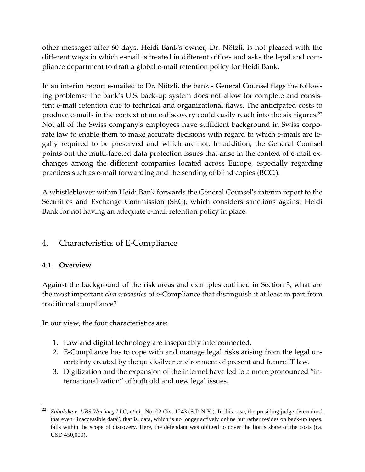other messages after 60 days. Heidi Bankʹs owner, Dr. Nötzli, is not pleased with the different ways in which e-mail is treated in different offices and asks the legal and compliance department to draft a global e‐mail retention policy for Heidi Bank.

In an interim report e-mailed to Dr. Nötzli, the bank's General Counsel flags the following problems: The bank's U.S. back-up system does not allow for complete and consistent e-mail retention due to technical and organizational flaws. The anticipated costs to produce e-mails in the context of an e-discovery could easily reach into the six figures.<sup>[22](#page-9-0)</sup> Not all of the Swiss company's employees have sufficient background in Swiss corporate law to enable them to make accurate decisions with regard to which e-mails are legally required to be preserved and which are not. In addition, the General Counsel points out the multi-faceted data protection issues that arise in the context of e-mail exchanges among the different companies located across Europe, especially regarding practices such as e‐mail forwarding and the sending of blind copies (BCC:).

A whistleblower within Heidi Bank forwards the General Counselʹs interim report to the Securities and Exchange Commission (SEC), which considers sanctions against Heidi Bank for not having an adequate e‐mail retention policy in place.

# 4. Characteristics of E‐Compliance

### **4.1. Overview**

1

Against the background of the risk areas and examples outlined in Section 3, what are the most important *characteristics* of e‐Compliance that distinguish it at least in part from traditional compliance?

In our view, the four characteristics are:

- 1. Law and digital technology are inseparably interconnected.
- 2. E‐Compliance has to cope with and manage legal risks arising from the legal un‐ certainty created by the quicksilver environment of present and future IT law.
- 3. Digitization and the expansion of the internet have led to a more pronounced "in‐ ternationalization" of both old and new legal issues.

<span id="page-9-0"></span><sup>22</sup> *Zubulake v. UBS Warburg LLC, et al.*, No. 02 Civ. 1243 (S.D.N.Y.). In this case, the presiding judge determined that even "inaccessible data", that is, data, which is no longer actively online but rather resides on back-up tapes, falls within the scope of discovery. Here, the defendant was obliged to cover the lion's share of the costs (ca. USD 450,000).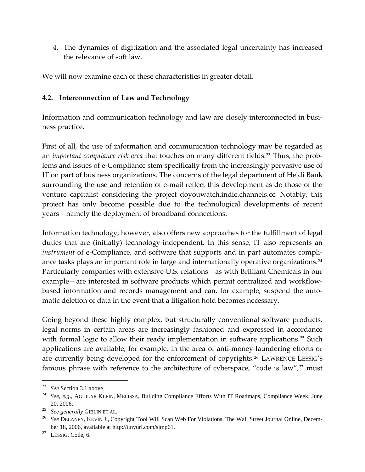4. The dynamics of digitization and the associated legal uncertainty has increased the relevance of soft law.

We will now examine each of these characteristics in greater detail.

#### **4.2. Interconnection of Law and Technology**

Information and communication technology and law are closely interconnected in business practice.

First of all, the use of information and communication technology may be regarded as an *important compliance risk area* that touches on many different fields.<sup>[23](#page-10-0)</sup> Thus, the problems and issues of e‐Compliance stem specifically from the increasingly pervasive use of IT on part of business organizations. The concerns of the legal department of Heidi Bank surrounding the use and retention of e-mail reflect this development as do those of the venture capitalist considering the project doyouwatch.indie.channels.cc. Notably, this project has only become possible due to the technological developments of recent years—namely the deployment of broadband connections.

Information technology, however, also offers new approaches for the fulfillment of legal duties that are (initially) technology‐independent. In this sense, IT also represents an *instrument* of e-Compliance, and software that supports and in part automates compli-ance tasks plays an important role in large and internationally operative organizations.<sup>[24](#page-10-1)</sup> Particularly companies with extensive U.S. relations—as with Brilliant Chemicals in our example—are interested in software products which permit centralized and workflowbased information and records management and can, for example, suspend the automatic deletion of data in the event that a litigation hold becomes necessary.

Going beyond these highly complex, but structurally conventional software products, legal norms in certain areas are increasingly fashioned and expressed in accordance with formal logic to allow their ready implementation in software applications.<sup>[25](#page-10-2)</sup> Such applications are available, for example, in the area of anti‐money‐laundering efforts or are currently being developed for the enforcement of copyrights.<sup>[26](#page-10-3)</sup> LAWRENCE LESSIG'S famous phrase with reference to the architecture of cyberspace, "code is law", $27$  must

<span id="page-10-1"></span><span id="page-10-0"></span><sup>&</sup>lt;sup>23</sup> *See* Section 3.1 above.<br><sup>24</sup> *See, e.g.*, AGUILAR KLEIN, MELISSA, Building Compliance Efforts With IT Roadmaps, Compliance Week, June

<span id="page-10-3"></span>

<span id="page-10-2"></span><sup>20, 2006.&</sup>lt;br><sup>25</sup> *See generally* GIBLIN ET AL.<br><sup>26</sup> *See DELANEY*, KEVIN J., Copyright Tool Will Scan Web For Violations, The Wall Street Journal Online, December 18, 2006, available at http://tinyurl.com/sjmp61.<br><sup>27</sup> LESSIG, Code, 6.

<span id="page-10-4"></span>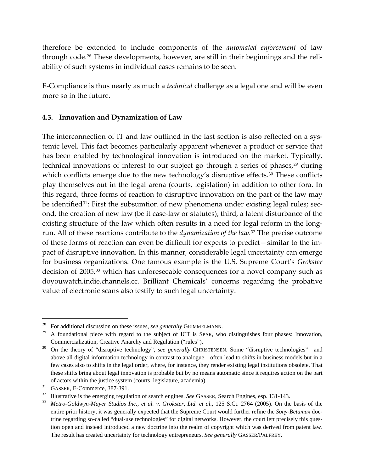therefore be extended to include components of the *automated enforcement* of law through code.<sup>[28](#page-11-0)</sup> These developments, however, are still in their beginnings and the reliability of such systems in individual cases remains to be seen.

E‐Compliance is thus nearly as much a *technical* challenge as a legal one and will be even more so in the future.

#### **4.3. Innovation and Dynamization of Law**

The interconnection of IT and law outlined in the last section is also reflected on a systemic level. This fact becomes particularly apparent whenever a product or service that has been enabled by technological innovation is introduced on the market. Typically, technical innovations of interest to our subject go through a series of phases,<sup>[29](#page-11-1)</sup> during which conflicts emerge due to the new technology's disruptive effects.<sup>[30](#page-11-2)</sup> These conflicts play themselves out in the legal arena (courts, legislation) in addition to other fora. In this regard, three forms of reaction to disruptive innovation on the part of the law may be identified<sup>[31](#page-11-3)</sup>: First the subsumtion of new phenomena under existing legal rules; second, the creation of new law (be it case‐law or statutes); third, a latent disturbance of the existing structure of the law which often results in a need for legal reform in the longrun. All of these reactions contribute to the *dynamization of the law*.[32](#page-11-4) The precise outcome of these forms of reaction can even be difficult for experts to predict—similar to the im‐ pact of disruptive innovation. In this manner, considerable legal uncertainty can emerge for business organizations. One famous example is the U.S. Supreme Court's *Grokster* decision of 2005,<sup>[33](#page-11-5)</sup> which has unforeseeable consequences for a novel company such as doyouwatch.indie.channels.cc. Brilliant Chemicals' concerns regarding the probative value of electronic scans also testify to such legal uncertainty.

<span id="page-11-0"></span><sup>&</sup>lt;sup>28</sup> For additional discussion on these issues, *see generally* GRIMMELMANN.<br><sup>29</sup> A foundational piece with regard to the subject of ICT is SPAR, who distinguishes four phases: Innovation,

<span id="page-11-2"></span><span id="page-11-1"></span>Commercialization, Creative Anarchy and Regulation ("rules"). 30 On the theory of "disruptive technology", *see generally* CHRISTENSEN. Some "disruptive technologies"—and above all digital information technology in contrast to analogue—often lead to shifts in business models but in a few cases also to shifts in the legal order, where, for instance, they render existing legal institutions obsolete. That these shifts bring about legal innovation is probable but by no means automatic since it requires action on the part of actors within the justice system (courts, legislature, academia).<br>
<sup>31</sup> GASSER, E-Commerce, 387-391.<br>
<sup>32</sup> Illustrative is the emerging regulation of search engines. *See* GASSER, Search Engines, esp. 131-143.<br>
<sup>32</sup> *Me* 

<span id="page-11-3"></span>

<span id="page-11-4"></span>

<span id="page-11-5"></span>entire prior history, it was generally expected that the Supreme Court would further refine the *Sony-Betamax* doctrine regarding so-called "dual-use technologies" for digital networks. However, the court left precisely this question open and instead introduced a new doctrine into the realm of copyright which was derived from patent law. The result has created uncertainty for technology entrepreneurs. *See generally* GASSER/PALFREY.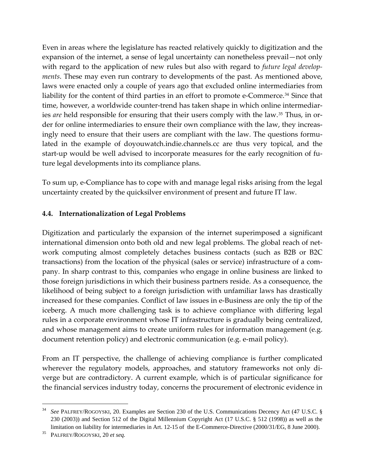Even in areas where the legislature has reacted relatively quickly to digitization and the expansion of the internet, a sense of legal uncertainty can nonetheless prevail—not only with regard to the application of new rules but also with regard to *future legal develop‐ ments*. These may even run contrary to developments of the past. As mentioned above, laws were enacted only a couple of years ago that excluded online intermediaries from liability for the content of third parties in an effort to promote e-Commerce.<sup>[34](#page-12-0)</sup> Since that time, however, a worldwide counter-trend has taken shape in which online intermediaries *are* held responsible for ensuring that their users comply with the law.<sup>[35](#page-12-1)</sup> Thus, in order for online intermediaries to ensure their own compliance with the law, they increasingly need to ensure that their users are compliant with the law. The questions formulated in the example of doyouwatch.indie.channels.cc are thus very topical, and the start-up would be well advised to incorporate measures for the early recognition of future legal developments into its compliance plans.

To sum up, e‐Compliance has to cope with and manage legal risks arising from the legal uncertainty created by the quicksilver environment of present and future IT law.

#### **4.4. Internationalization of Legal Problems**

Digitization and particularly the expansion of the internet superimposed a significant international dimension onto both old and new legal problems. The global reach of network computing almost completely detaches business contacts (such as B2B or B2C transactions) from the location of the physical (sales or service) infrastructure of a com‐ pany. In sharp contrast to this, companies who engage in online business are linked to those foreign jurisdictions in which their business partners reside. As a consequence, the likelihood of being subject to a foreign jurisdiction with unfamiliar laws has drastically increased for these companies. Conflict of law issues in e‐Business are only the tip of the iceberg. A much more challenging task is to achieve compliance with differing legal rules in a corporate environment whose IT infrastructure is gradually being centralized, and whose management aims to create uniform rules for information management (e.g. document retention policy) and electronic communication (e.g. e‐mail policy).

From an IT perspective, the challenge of achieving compliance is further complicated wherever the regulatory models, approaches, and statutory frameworks not only diverge but are contradictory. A current example, which is of particular significance for the financial services industry today, concerns the procurement of electronic evidence in

<span id="page-12-0"></span><sup>34</sup> *See* PALFREY/ROGOYSKI, 20. Examples are Section 230 of the U.S. Communications Decency Act (47 U.S.C. § 230 (2003)) and Section 512 of the Digital Millennium Copyright Act (17 U.S.C. § 512 (1998)) as well as the limitation on liability for intermediaries in Art. 12-15 of the E-Commerce-Directive (2000/31/EG, 8 June 2000). 35 PALFREY/ROGOYSKI, 20 *et seq.*

<span id="page-12-1"></span>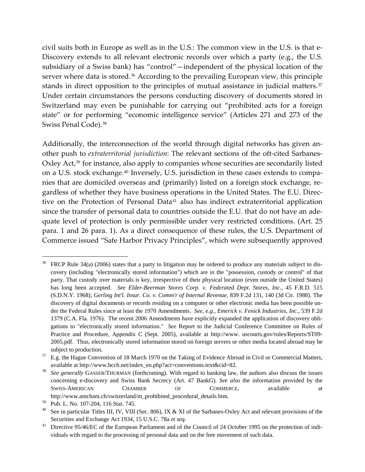civil suits both in Europe as well as in the U.S.: The common view in the U.S. is that e‐ Discovery extends to all relevant electronic records over which a party (e.g., the U.S. subsidiary of a Swiss bank) has "control"—independent of the physical location of the server where data is stored.<sup>[36](#page-13-0)</sup> According to the prevailing European view, this principle stands in direct opposition to the principles of mutual assistance in judicial matters.<sup>[37](#page-13-1)</sup> Under certain circumstances the persons conducting discovery of documents stored in Switzerland may even be punishable for carrying out "prohibited acts for a foreign state" or for performing "economic intelligence service" (Articles 271 and 273 of the Swiss Penal Code).<sup>[38](#page-13-2)</sup>

Additionally, the interconnection of the world through digital networks has given an‐ other push to *extraterritorial jurisdiction*: The relevant sections of the oft‐cited Sarbanes‐ Oxley Act,<sup>[39](#page-13-3)</sup> for instance, also apply to companies whose securities are secondarily listed on a U.S. stock exchange.[40](#page-13-4) Inversely, U.S. jurisdiction in these cases extends to compa‐ nies that are domiciled overseas and (primarily) listed on a foreign stock exchange, re‐ gardless of whether they have business operations in the United States. The E.U. Direc‐ tive on the Protection of Personal Data<sup>[41](#page-13-5)</sup> also has indirect extraterritorial application since the transfer of personal data to countries outside the E.U. that do not have an ade‐ quate level of protection is only permissible under very restricted conditions. (Art. 25 para. 1 and 26 para. 1). As a direct consequence of these rules, the U.S. Department of Commerce issued "Safe Harbor Privacy Principles", which were subsequently approved

<span id="page-13-0"></span>FRCP Rule 34(a) (2006) states that a party to litigation may be ordered to produce any materials subject to discovery (including "electronically stored information") which are in the "possession, custody or control" of that party. That custody over materials is key, irrespective of their physical location (even outside the United States) has long been accepted. *See Elder-Beerman Stores Corp. v. Federated Dept. Stores, Inc.*, 45 F.R.D. 515 (S.D.N.Y. 1968); *Gerling Int'l. Insur. Co. v. Comm'r of Internal Revenue*, 839 F.2d 131, 140 (3d Cir. 1988). The discovery of digital documents or records residing on a computer or other electronic media has been possible under the Federal Rules since at least the 1970 Amendments. *See, e.g., Emerick v. Fenick Industries, Inc.*, 539 F.2d 1379 (C.A. Fla. 1976). The recent 2006 Amendments have explicitly expanded the application of discovery obligations to "electronically stored information." *See* Report to the Judicial Conference Committee on Rules of Practice and Procedure, Appendix C (Sept. 2005), available at http://www. uscourts.gov/rules/Reports/ST09- 2005.pdf. Thus, electronically stored information stored on foreign servers or other media located abroad may be

<span id="page-13-1"></span>subject to production.<br><sup>37</sup> E.g. the Hague Convention of 18 March 1970 on the Taking of Evidence Abroad in Civil or Commercial Matters,

<span id="page-13-2"></span>available at http://www.hcch.net/index\_en.php?act=conventions.text&cid=82.<br>See generally GASSER/THURMAN (forthcoming). With regard to banking law, the authors also discuss the issues concerning e-discovery and Swiss Bank Secrecy (Art. 47 BankG). *See also* the information provided by the SWISS-AMERICAN CHAMBER OF COMMERCE, available at http://www.amcham.ch/switzerland/m\_prohibited\_procedural\_details.htm.

<span id="page-13-3"></span><sup>39</sup> Pub. L. No. 107-204, 116 Stat. 745.

<span id="page-13-4"></span><sup>&</sup>lt;sup>40</sup> See in particular Titles III, IV, VIII (Sec. 806), IX & XI of the Sarbanes-Oxley Act and relevant provisions of the Securities and Exchange Act 1934, 15 U.S.C. 78a *et seq*.

<span id="page-13-5"></span><sup>&</sup>lt;sup>41</sup> Directive 95/46/EC of the European Parliament and of the Council of 24 October 1995 on the protection of individuals with regard to the processing of personal data and on the free movement of such data.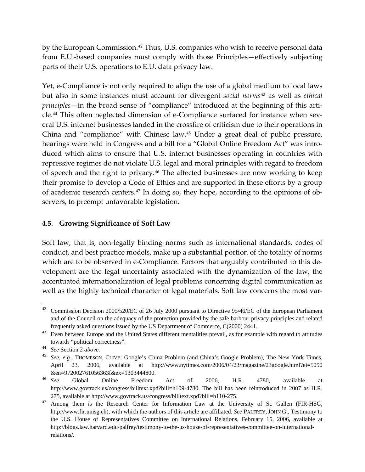by the European Commission.<sup>[42](#page-14-0)</sup> Thus, U.S. companies who wish to receive personal data from E.U.‐based companies must comply with those Principles—effectively subjecting parts of their U.S. operations to E.U. data privacy law.

Yet, e‐Compliance is not only required to align the use of a global medium to local laws but also in some instances must account for divergent *social norms*[43](#page-14-1) as well as *ethical principles*—in the broad sense of "compliance" introduced at the beginning of this arti-cle.<sup>[44](#page-14-2)</sup> This often neglected dimension of e-Compliance surfaced for instance when several U.S. internet businesses landed in the crossfire of criticism due to their operations in China and "compliance" with Chinese law.[45](#page-14-3) Under a great deal of public pressure, hearings were held in Congress and a bill for a "Global Online Freedom Act" was introduced which aims to ensure that U.S. internet businesses operating in countries with repressive regimes do not violate U.S. legal and moral principles with regard to freedom of speech and the right to privacy.<sup>[46](#page-14-4)</sup> The affected businesses are now working to keep their promise to develop a Code of Ethics and are supported in these efforts by a group of academic research centers.<sup>[47](#page-14-5)</sup> In doing so, they hope, according to the opinions of observers, to preempt unfavorable legislation.

#### **4.5. Growing Significance of Soft Law**

Soft law, that is, non-legally binding norms such as international standards, codes of conduct, and best practice models, make up a substantial portion of the totality of norms which are to be observed in e-Compliance. Factors that arguably contributed to this development are the legal uncertainty associated with the dynamization of the law, the accentuated internationalization of legal problems concerning digital communication as well as the highly technical character of legal materials. Soft law concerns the most var-

<span id="page-14-0"></span><sup>&</sup>lt;sup>42</sup> Commission Decision 2000/520/EC of 26 July 2000 pursuant to Directive 95/46/EC of the European Parliament and of the Council on the adequacy of the protection provided by the safe harbour privacy principles and related

<span id="page-14-1"></span>frequently asked questions issued by the US Department of Commerce, C(2000) 2441. 43 Even between Europe and the United States different mentalities prevail, as for example with regard to attitudes towards "political correctness".<br><sup>44</sup> *See* Section 2 *above*.<br><sup>45</sup> *See, e.g.*, THOMPSON, CLIVE: Google's China Problem (and China's Google Problem), The New York Times,

<span id="page-14-2"></span>

<span id="page-14-3"></span>April 23, 2006, available at http://www.nytimes.com/2006/04/23/magazine/23google.html?ei=5090 &en=972002761056363f&ex=1303444800. 46 *See* Global Online Freedom Act of 2006, H.R. 4780, available at

<span id="page-14-4"></span>http://www.govtrack.us/congress/billtext.xpd?bill=h109-4780. The bill has been reintroduced in 2007 as H.R. 275, available at http://www.govtrack.us/congress/billtext.xpd?bill=h110-275.<br><sup>47</sup> Among them is the Research Center for Information Law at the University of St. Gallen (FIR-HSG,

<span id="page-14-5"></span>http://www.fir.unisg.ch), with which the authors of this article are affiliated. *See* PALFREY, JOHN G., Testimony to the U.S. House of Representatives Committee on International Relations, February 15, 2006, available at http://blogs.law.harvard.edu/palfrey/testimony-to-the-us-house-of-representatives-committee-on-internationalrelations/.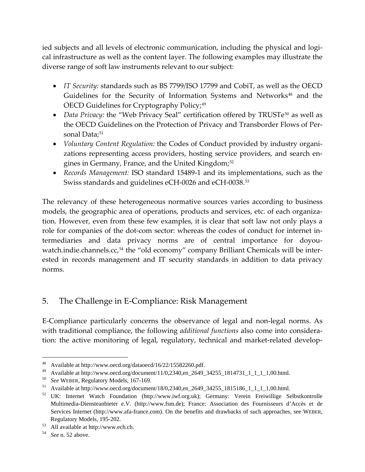ied subjects and all levels of electronic communication, including the physical and logical infrastructure as well as the content layer. The following examples may illustrate the diverse range of soft law instruments relevant to our subject:

- *IT Security:* standards such as BS 7799/ISO 17799 and CobiT, as well as the OECD Guidelines for the Security of Information Systems and Networks<sup>[48](#page-15-0)</sup> and the OECD Guidelines for Cryptography Policy;<sup>[49](#page-15-1)</sup>
- *Data Privacy:* the "Web Privacy Seal" certification offered by TRUSTe<sup>[50](#page-15-2)</sup> as well as the OECD Guidelines on the Protection of Privacy and Transborder Flows of Per‐ sonal Data;<sup>[51](#page-15-3)</sup>
- *Voluntary Content Regulation:* the Codes of Conduct provided by industry organi‐ zations representing access providers, hosting service providers, and search en‐ gines in Germany, France, and the United Kingdom;<sup>[52](#page-15-4)</sup>
- *Records Management:* ISO standard 15489‐1 and its implementations, such as the Swiss standards and guidelines eCH‐0026 and eCH‐0038.[53](#page-15-5)

The relevancy of these heterogeneous normative sources varies according to business models, the geographic area of operations, products and services, etc. of each organiza‐ tion. However, even from these few examples, it is clear that soft law not only plays a role for companies of the dot-com sector: whereas the codes of conduct for internet intermediaries and data privacy norms are of central importance for doyou-watch.indie.channels.cc,<sup>[54](#page-15-6)</sup> the "old economy" company Brilliant Chemicals will be interested in records management and IT security standards in addition to data privacy norms.

# 5. The Challenge in E‐Compliance: Risk Management

E-Compliance particularly concerns the observance of legal and non-legal norms. As with traditional compliance, the following *additional functions* also come into considera‐ tion: the active monitoring of legal, regulatory, technical and market-related develop-

<span id="page-15-0"></span><sup>48</sup> Available at http://www.oecd.org/dataoecd/16/22/15582260.pdf.

<span id="page-15-1"></span><sup>&</sup>lt;sup>49</sup> Available at http://www.oecd.org/document/11/0,2340,en\_2649\_34255\_1814731\_1\_1\_1\_1,00.html.

<span id="page-15-2"></span><sup>50</sup>*See* WEBER, Regulatory Models, 167-169. 51 Available at http://www.oecd.org/document/18/0,2340,en\_2649\_34255\_1815186\_1\_1\_1\_1,00.html.

<span id="page-15-4"></span><span id="page-15-3"></span><sup>52</sup> UK: Internet Watch Foundation (http://www.iwf.org.uk); Germany: Verein Freiwillige Selbstkontrolle Multimedia-Diensteanbieter e.V. (http://www.fsm.de); France: Association des Fournisseurs d'Accès et de Services Internet (http://www.afa-france.com). On the benefits and drawbacks of such approaches, see WEBER,

<span id="page-15-5"></span>Regulatory Models, 195-202. 53 All available at http://www.ech.ch.

<span id="page-15-6"></span><sup>54</sup> *See* n. 52 above.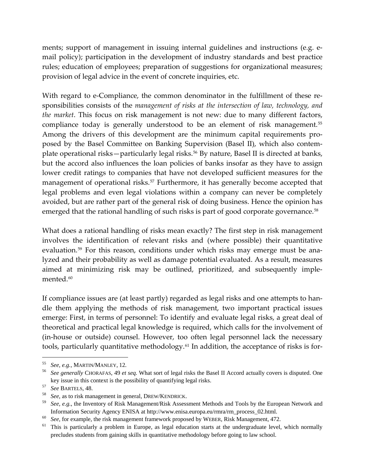ments; support of management in issuing internal guidelines and instructions (e.g. e‐ mail policy); participation in the development of industry standards and best practice rules; education of employees; preparation of suggestions for organizational measures; provision of legal advice in the event of concrete inquiries, etc.

With regard to e-Compliance, the common denominator in the fulfillment of these responsibilities consists of the *management of risks at the intersection of law, technology, and the market*. This focus on risk management is not new: due to many different factors, compliance today is generally understood to be an element of risk management.<sup>[55](#page-16-0)</sup> Among the drivers of this development are the minimum capital requirements pro‐ posed by the Basel Committee on Banking Supervision (Basel II), which also contem‐ plate operational risks—particularly legal risks.<sup>[56](#page-16-1)</sup> By nature, Basel II is directed at banks, but the accord also influences the loan policies of banks insofar as they have to assign lower credit ratings to companies that have not developed sufficient measures for the management of operational risks.<sup>[57](#page-16-2)</sup> Furthermore, it has generally become accepted that legal problems and even legal violations within a company can never be completely avoided, but are rather part of the general risk of doing business. Hence the opinion has emerged that the rational handling of such risks is part of good corporate governance.<sup>[58](#page-16-3)</sup>

What does a rational handling of risks mean exactly? The first step in risk management involves the identification of relevant risks and (where possible) their quantitative evaluation.<sup>[59](#page-16-4)</sup> For this reason, conditions under which risks may emerge must be analyzed and their probability as well as damage potential evaluated. As a result, measures aimed at minimizing risk may be outlined, prioritized, and subsequently imple‐ mented.<sup>[60](#page-16-5)</sup>

If compliance issues are (at least partly) regarded as legal risks and one attempts to han‐ dle them applying the methods of risk management, two important practical issues emerge: First, in terms of personnel: To identify and evaluate legal risks, a great deal of theoretical and practical legal knowledge is required, which calls for the involvement of (in‐house or outside) counsel. However, too often legal personnel lack the necessary tools, particularly quantitative methodology.<sup>61</sup> In addition, the acceptance of risks is for-

<span id="page-16-1"></span><span id="page-16-0"></span><sup>55</sup>*See, e.g.,* MARTIN/MANLEY, 12. 56 *See generally* CHORAFAS, 49 *et seq.* What sort of legal risks the Basel II Accord actually covers is disputed. One

<span id="page-16-3"></span>

<span id="page-16-2"></span>key issue in this context is the possibility of quantifying legal risks.<br>
<sup>57</sup> See BARTELS, 48.<br>
<sup>58</sup> See, as to risk management in general, DREW/KENDRICK.<br>
<sup>58</sup> See, e.g., the Inventory of Risk Management/Risk Assessment

<span id="page-16-6"></span>

<span id="page-16-5"></span><span id="page-16-4"></span>Information Security Agency ENISA at http://www.enisa.europa.eu/rmra/rm\_process\_02.html.<br>
<sup>60</sup> See, for example, the risk management framework proposed by WEBER, Risk Management, 472.<br>
<sup>61</sup> This is particularly a problem i precludes students from gaining skills in quantitative methodology before going to law school.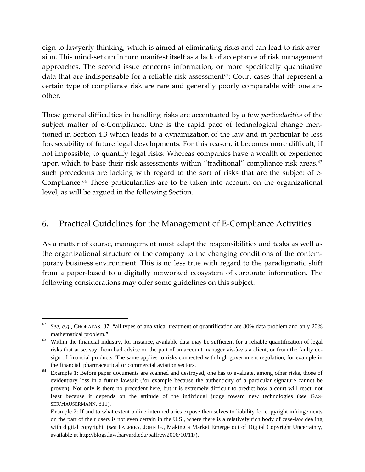eign to lawyerly thinking, which is aimed at eliminating risks and can lead to risk aver‐ sion. This mind‐set can in turn manifest itself as a lack of acceptance of risk management approaches. The second issue concerns information, or more specifically quantitative data that are indispensable for a reliable risk assessment<sup>[62](#page-17-0)</sup>: Court cases that represent a certain type of compliance risk are rare and generally poorly comparable with one an‐ other.

These general difficulties in handling risks are accentuated by a few *particularities* of the subject matter of e-Compliance. One is the rapid pace of technological change mentioned in Section 4.3 which leads to a dynamization of the law and in particular to less foreseeability of future legal developments. For this reason, it becomes more difficult, if not impossible, to quantify legal risks: Whereas companies have a wealth of experience upon which to base their risk assessments within "traditional" compliance risk areas,<sup>[63](#page-17-1)</sup> such precedents are lacking with regard to the sort of risks that are the subject of e-Compliance.<sup>[64](#page-17-2)</sup> These particularities are to be taken into account on the organizational level, as will be argued in the following Section.

# 6. Practical Guidelines for the Management of E‐Compliance Activities

As a matter of course, management must adapt the responsibilities and tasks as well as the organizational structure of the company to the changing conditions of the contem‐ porary business environment. This is no less true with regard to the paradigmatic shift from a paper‐based to a digitally networked ecosystem of corporate information. The following considerations may offer some guidelines on this subject.

<span id="page-17-0"></span><sup>62</sup> *See, e.g.*, CHORAFAS, 37: "all types of analytical treatment of quantification are 80% data problem and only 20%

<span id="page-17-1"></span>mathematical problem."<br><sup>63</sup> Within the financial industry, for instance, available data may be sufficient for a reliable quantification of legal risks that arise, say, from bad advice on the part of an account manager vis-à-vis a client, or from the faulty design of financial products. The same applies to risks connected with high government regulation, for example in the financial, pharmaceutical or commercial aviation sectors.<br><sup>64</sup> Example 1: Before paper documents are scanned and destroyed, one has to evaluate, among other risks, those of

<span id="page-17-2"></span>evidentiary loss in a future lawsuit (for example because the authenticity of a particular signature cannot be proven). Not only is there no precedent here, but it is extremely difficult to predict how a court will react, not least because it depends on the attitude of the individual judge toward new technologies (*see* GAS-SER/HÄUSERMANN, 311).

Example 2: If and to what extent online intermediaries expose themselves to liability for copyright infringements on the part of their users is not even certain in the U.S., where there is a relatively rich body of case-law dealing with digital copyright. (*see* PALFREY, JOHN G., [Making a Market Emerge out of Digital Copyright Uncertainty,](http://blogs.law.harvard.edu/palfrey/2006/10/11/making-a-market-emerge-out-of-digital-copyright-uncertainty/) available at http://blogs.law.harvard.edu/palfrey/2006/10/11/).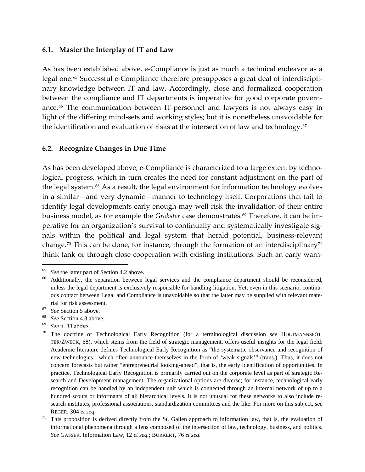#### **6.1. Master the Interplay of IT and Law**

As has been established above, e‐Compliance is just as much a technical endeavor as a legal one.<sup>[65](#page-18-0)</sup> Successful e-Compliance therefore presupposes a great deal of interdisciplinary knowledge between IT and law. Accordingly, close and formalized cooperation between the compliance and IT departments is imperative for good corporate govern-ance.<sup>[66](#page-18-1)</sup> The communication between IT-personnel and lawyers is not always easy in light of the differing mind‐sets and working styles; but it is nonetheless unavoidable for the identification and evaluation of risks at the intersection of law and technology. $67$ 

#### **6.2. Recognize Changes in Due Time**

As has been developed above, e-Compliance is characterized to a large extent by technological progress, which in turn creates the need for constant adjustment on the part of the legal system.<sup>[68](#page-18-3)</sup> As a result, the legal environment for information technology evolves in a similar—and very dynamic—manner to technology itself. Corporations that fail to identify legal developments early enough may well risk the invalidation of their entire business model, as for example the *Grokster* case demonstrates.<sup>[69](#page-18-4)</sup> Therefore, it can be imperative for an organization's survival to continually and systematically investigate signals within the political and legal system that herald potential, business-relevant change.<sup>[70](#page-18-5)</sup> This can be done, for instance, through the formation of an interdisciplinary<sup>[71](#page-18-6)</sup> think tank or through close cooperation with existing institutions. Such an early warn‐

- <span id="page-18-3"></span>
- <span id="page-18-5"></span><span id="page-18-4"></span>

<span id="page-18-1"></span><span id="page-18-0"></span><sup>&</sup>lt;sup>65</sup> See the latter part of Section 4.2 above.<br><sup>66</sup> Additionally, the separation between legal services and the compliance department should be reconsidered, unless the legal department is exclusively responsible for handling litigation. Yet, even in this scenario, continuous contact between Legal and Compliance is unavoidable so that the latter may be supplied with relevant mate-

<span id="page-18-2"></span>rial for risk assessment.<br>
<sup>67</sup> See Section 5 above.<br>
<sup>68</sup> See Section 4.3 above.<br>
<sup>69</sup> See n. 33 above.<br>
<sup>70</sup> The doctrine of Technological Early Recognition (for a terminological discussion *see* HOLTMANNSPÖT-TER/ZWECK, 68), which stems from the field of strategic management, offers useful insights for the legal field: Academic literature defines Technological Early Recognition as "the systematic observance and recognition of new technologies…which often announce themselves in the form of 'weak signals'" (trans.). Thus, it does not concern forecasts but rather "entrepreneurial looking-ahead", that is, the early identification of opportunities. In practice, Technological Early Recognition is primarily carried out on the corporate level as part of strategic Research and Development management. The organizational options are diverse; for instance, technological early recognition can be handled by an independent unit which is connected through an internal network of up to a hundred scouts or informants of all hierarchical levels. It is not unusual for these networks to also include research institutes, professional associations, standardization committees and the like. For more on this subject, *see*

<span id="page-18-6"></span>REGER, 304 *et seq*.<br><sup>71</sup> This proposition is derived directly from the St. Gallen approach to information law, that is, the evaluation of informational phenomena through a lens composed of the intersection of law, technology, business, and politics. *See* GASSER, Information Law, 12 *et seq.*; BURKERT, 76 *et seq*.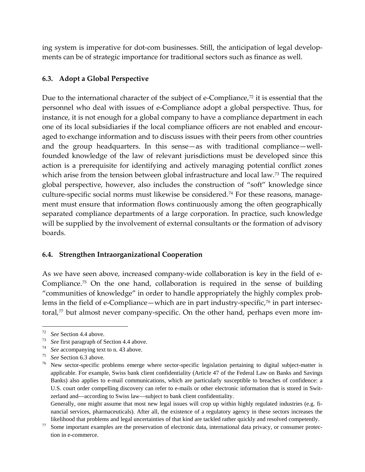ing system is imperative for dot-com businesses. Still, the anticipation of legal developments can be of strategic importance for traditional sectors such as finance as well.

#### **6.3. Adopt a Global Perspective**

Due to the international character of the subject of e-Compliance, $72$  it is essential that the personnel who deal with issues of e‐Compliance adopt a global perspective. Thus, for instance, it is not enough for a global company to have a compliance department in each one of its local subsidiaries if the local compliance officers are not enabled and encour‐ aged to exchange information and to discuss issues with their peers from other countries and the group headquarters. In this sense—as with traditional compliance—wellfounded knowledge of the law of relevant jurisdictions must be developed since this action is a prerequisite for identifying and actively managing potential conflict zones which arise from the tension between global infrastructure and local law.<sup>[73](#page-19-1)</sup> The required global perspective, however, also includes the construction of "soft" knowledge since culture-specific social norms must likewise be considered.<sup>[74](#page-19-2)</sup> For these reasons, management must ensure that information flows continuously among the often geographically separated compliance departments of a large corporation. In practice, such knowledge will be supplied by the involvement of external consultants or the formation of advisory boards.

#### **6.4. Strengthen Intraorganizational Cooperation**

As we have seen above, increased company‐wide collaboration is key in the field of e‐ Compliance.[75](#page-19-3) On the one hand, collaboration is required in the sense of building "communities of knowledge" in order to handle appropriately the highly complex prob‐ lems in the field of e-Compliance—which are in part industry-specific,<sup>[76](#page-19-4)</sup> in part intersectoral, $\frac{77}{2}$  $\frac{77}{2}$  $\frac{77}{2}$  but almost never company-specific. On the other hand, perhaps even more im-

<span id="page-19-1"></span>

<span id="page-19-2"></span>

<span id="page-19-4"></span><span id="page-19-3"></span>

<span id="page-19-0"></span><sup>&</sup>lt;sup>72</sup> See Section 4.4 above.<br><sup>73</sup> See first paragraph of Section 4.4 above.<br><sup>74</sup> See accompanying text to n. 43 above.<br><sup>75</sup> See Section 6.3 above.<br><sup>75</sup> New sector-specific problems emerge where sector-specific legislation applicable. For example, Swiss bank client confidentiality (Article 47 of the Federal Law on Banks and Savings Banks) also applies to e-mail communications, which are particularly susceptible to breaches of confidence: a U.S. court order compelling discovery can refer to e-mails or other electronic information that is stored in Switzerland and—according to Swiss law—subject to bank client confidentiality.

Generally, one might assume that most new legal issues will crop up within highly regulated industries (e.g. financial services, pharmaceuticals). After all, the existence of a regulatory agency in these sectors increases the

<span id="page-19-5"></span>likelihood that problems and legal uncertainties of that kind are tackled rather quickly and resolved competently.<br><sup>77</sup> Some important examples are the preservation of electronic data, international data privacy, or consum tion in e-commerce.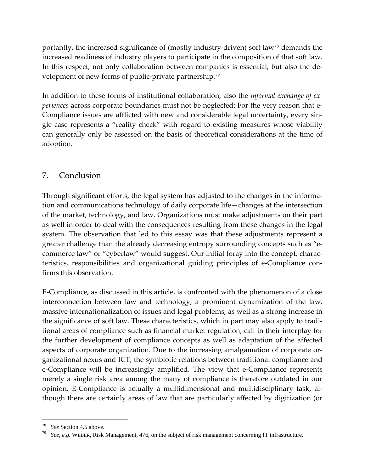portantly, the increased significance of (mostly industry-driven) soft law<sup>[78](#page-20-0)</sup> demands the increased readiness of industry players to participate in the composition of that soft law. In this respect, not only collaboration between companies is essential, but also the de‐ velopment of new forms of public-private partnership.<sup>[79](#page-20-1)</sup>

In addition to these forms of institutional collaboration, also the *informal exchange of ex‐ periences* across corporate boundaries must not be neglected: For the very reason that e-Compliance issues are afflicted with new and considerable legal uncertainty, every single case represents a "reality check" with regard to existing measures whose viability can generally only be assessed on the basis of theoretical considerations at the time of adoption.

# 7. Conclusion

Through significant efforts, the legal system has adjusted to the changes in the informa‐ tion and communications technology of daily corporate life—changes at the intersection of the market, technology, and law. Organizations must make adjustments on their part as well in order to deal with the consequences resulting from these changes in the legal system. The observation that led to this essay was that these adjustments represent a greater challenge than the already decreasing entropy surrounding concepts such as "ecommerce law" or "cyberlaw" would suggest. Our initial foray into the concept, charac‐ teristics, responsibilities and organizational guiding principles of e‐Compliance con‐ firms this observation.

E‐Compliance, as discussed in this article, is confronted with the phenomenon of a close interconnection between law and technology, a prominent dynamization of the law, massive internationalization of issues and legal problems, as well as a strong increase in the significance of soft law. These characteristics, which in part may also apply to tradi‐ tional areas of compliance such as financial market regulation, call in their interplay for the further development of compliance concepts as well as adaptation of the affected aspects of corporate organization. Due to the increasing amalgamation of corporate or‐ ganizational nexus and ICT, the symbiotic relations between traditional compliance and e‐Compliance will be increasingly amplified. The view that e‐Compliance represents merely a single risk area among the many of compliance is therefore outdated in our opinion. E‐Compliance is actually a multidimensional and multidisciplinary task, al‐ though there are certainly areas of law that are particularly affected by digitization (or

<span id="page-20-1"></span><span id="page-20-0"></span><sup>&</sup>lt;sup>78</sup> *See* Section 4.5 above.<br><sup>79</sup> *See, e.g.* WEBER, Risk Management, 476, on the subject of risk management concerning IT infrastructure.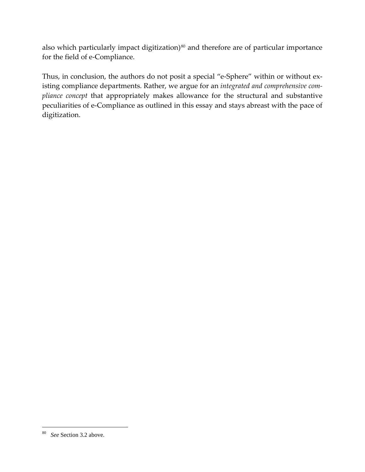also which particularly impact digitization)<sup>[80](#page-21-0)</sup> and therefore are of particular importance for the field of e‐Compliance.

Thus, in conclusion, the authors do not posit a special "e-Sphere" within or without existing compliance departments. Rather, we argue for an *integrated and comprehensive com‐ pliance concept* that appropriately makes allowance for the structural and substantive peculiarities of e‐Compliance as outlined in this essay and stays abreast with the pace of digitization.

<span id="page-21-0"></span><sup>80</sup> *See* Section 3.2 above.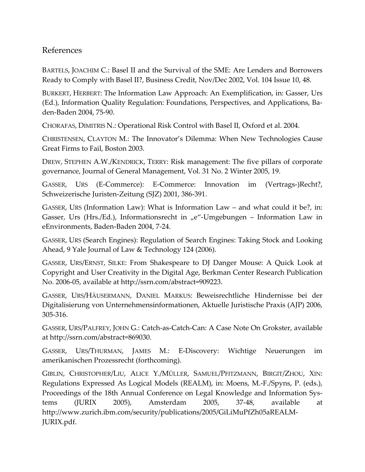# References

BARTELS, JOACHIM C.: Basel II and the Survival of the SME: Are Lenders and Borrowers Ready to Comply with Basel II?, Business Credit, Nov/Dec 2002, Vol. 104 Issue 10, 48.

BURKERT, HERBERT: The Information Law Approach: An Exemplification, in: Gasser, Urs (Ed.), Information Quality Regulation: Foundations, Perspectives, and Applications, Ba‐ den‐Baden 2004, 75‐90.

CHORAFAS, DIMITRIS N.: Operational Risk Control with Basel II, Oxford et al. 2004.

CHRISTENSEN, CLAYTON M.: The Innovator's Dilemma: When New Technologies Cause Great Firms to Fail, Boston 2003.

DREW, STEPHEN A.W./KENDRICK, TERRY: Risk management: The five pillars of corporate governance, Journal of General Management, Vol. 31 No. 2 Winter 2005, 19.

GASSER, URS (E‐Commerce): E‐Commerce: Innovation im (Vertrags‐)Recht?, Schweizerische Juristen‐Zeitung (SJZ) 2001, 386‐391.

GASSER, URS (Information Law): What is Information Law – and what could it be?, in: Gasser, Urs (Hrs./Ed.), Informationsrecht in "e"-Umgebungen – Information Law in eEnvironments, Baden‐Baden 2004, 7‐24.

GASSER, URS (Search Engines): Regulation of Search Engines: Taking Stock and Looking Ahead, 9 Yale Journal of Law & Technology 124 (2006).

GASSER, URS/ERNST, SILKE: From Shakespeare to DJ Danger Mouse: A Quick Look at Copyright and User Creativity in the Digital Age, Berkman Center Research Publication No. 2006‐05, available at http://ssrn.com/abstract=909223.

GASSER, URS/HÄUSERMANN, DANIEL MARKUS: Beweisrechtliche Hindernisse bei der Digitalisierung von Unternehmensinformationen, Aktuelle Juristische Praxis (AJP) 2006, 305‐316.

GASSER, URS/PALFREY, JOHN G.: Catch‐as‐Catch‐Can: A Case Note On Grokster, available at http://ssrn.com/abstract=869030.

GASSER, URS/THURMAN, JAMES M.: E‐Discovery: Wichtige Neuerungen im amerikanischen Prozessrecht (forthcoming).

GIBLIN, CHRISTOPHER/LIU, ALICE Y./MÜLLER, SAMUEL/PFITZMANN, BIRGIT/ZHOU, XIN: Regulations Expressed As Logical Models (REALM), in: Moens, M.‐F./Spyns, P. (eds.), Proceedings of the 18th Annual Conference on Legal Knowledge and Information Systems (JURIX 2005), Amsterdam 2005, 37‐48, available at [http://www.zurich.ibm.com/security/publications/2005/GiLiMuPfZh05aREALM](http://www.zurich.ibm.com/security/publications/2005/GiLiMuPfZh05aREALM-JURIX.pdf.)‐ [JURIX.pdf.](http://www.zurich.ibm.com/security/publications/2005/GiLiMuPfZh05aREALM-JURIX.pdf.)